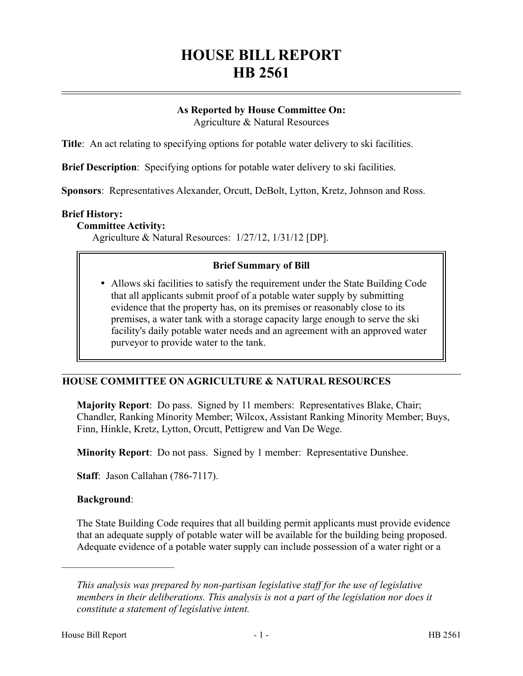# **HOUSE BILL REPORT HB 2561**

### **As Reported by House Committee On:** Agriculture & Natural Resources

**Title**: An act relating to specifying options for potable water delivery to ski facilities.

**Brief Description**: Specifying options for potable water delivery to ski facilities.

**Sponsors**: Representatives Alexander, Orcutt, DeBolt, Lytton, Kretz, Johnson and Ross.

### **Brief History:**

#### **Committee Activity:**

Agriculture & Natural Resources: 1/27/12, 1/31/12 [DP].

## **Brief Summary of Bill**

 Allows ski facilities to satisfy the requirement under the State Building Code that all applicants submit proof of a potable water supply by submitting evidence that the property has, on its premises or reasonably close to its premises, a water tank with a storage capacity large enough to serve the ski facility's daily potable water needs and an agreement with an approved water purveyor to provide water to the tank.

# **HOUSE COMMITTEE ON AGRICULTURE & NATURAL RESOURCES**

**Majority Report**: Do pass. Signed by 11 members: Representatives Blake, Chair; Chandler, Ranking Minority Member; Wilcox, Assistant Ranking Minority Member; Buys, Finn, Hinkle, Kretz, Lytton, Orcutt, Pettigrew and Van De Wege.

**Minority Report**: Do not pass. Signed by 1 member: Representative Dunshee.

**Staff**: Jason Callahan (786-7117).

#### **Background**:

––––––––––––––––––––––

The State Building Code requires that all building permit applicants must provide evidence that an adequate supply of potable water will be available for the building being proposed. Adequate evidence of a potable water supply can include possession of a water right or a

*This analysis was prepared by non-partisan legislative staff for the use of legislative members in their deliberations. This analysis is not a part of the legislation nor does it constitute a statement of legislative intent.*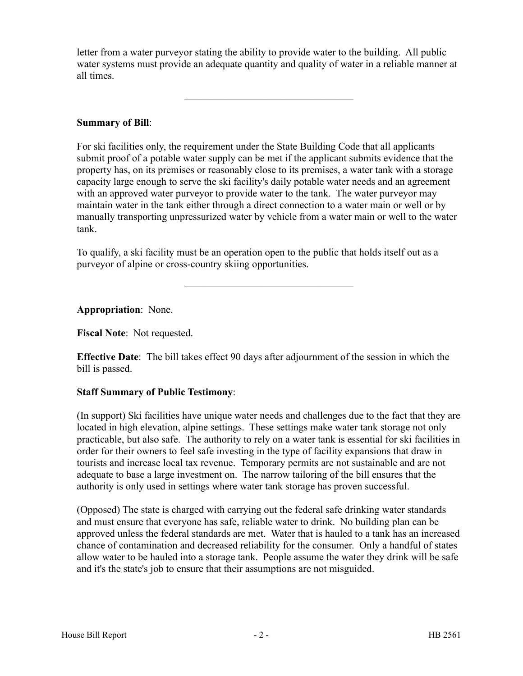letter from a water purveyor stating the ability to provide water to the building. All public water systems must provide an adequate quantity and quality of water in a reliable manner at all times.

–––––––––––––––––––––––––––––––––

# **Summary of Bill**:

For ski facilities only, the requirement under the State Building Code that all applicants submit proof of a potable water supply can be met if the applicant submits evidence that the property has, on its premises or reasonably close to its premises, a water tank with a storage capacity large enough to serve the ski facility's daily potable water needs and an agreement with an approved water purveyor to provide water to the tank. The water purveyor may maintain water in the tank either through a direct connection to a water main or well or by manually transporting unpressurized water by vehicle from a water main or well to the water tank.

To qualify, a ski facility must be an operation open to the public that holds itself out as a purveyor of alpine or cross-country skiing opportunities.

–––––––––––––––––––––––––––––––––

**Appropriation**: None.

**Fiscal Note**: Not requested.

**Effective Date**: The bill takes effect 90 days after adjournment of the session in which the bill is passed.

# **Staff Summary of Public Testimony**:

(In support) Ski facilities have unique water needs and challenges due to the fact that they are located in high elevation, alpine settings. These settings make water tank storage not only practicable, but also safe. The authority to rely on a water tank is essential for ski facilities in order for their owners to feel safe investing in the type of facility expansions that draw in tourists and increase local tax revenue. Temporary permits are not sustainable and are not adequate to base a large investment on. The narrow tailoring of the bill ensures that the authority is only used in settings where water tank storage has proven successful.

(Opposed) The state is charged with carrying out the federal safe drinking water standards and must ensure that everyone has safe, reliable water to drink. No building plan can be approved unless the federal standards are met. Water that is hauled to a tank has an increased chance of contamination and decreased reliability for the consumer. Only a handful of states allow water to be hauled into a storage tank. People assume the water they drink will be safe and it's the state's job to ensure that their assumptions are not misguided.